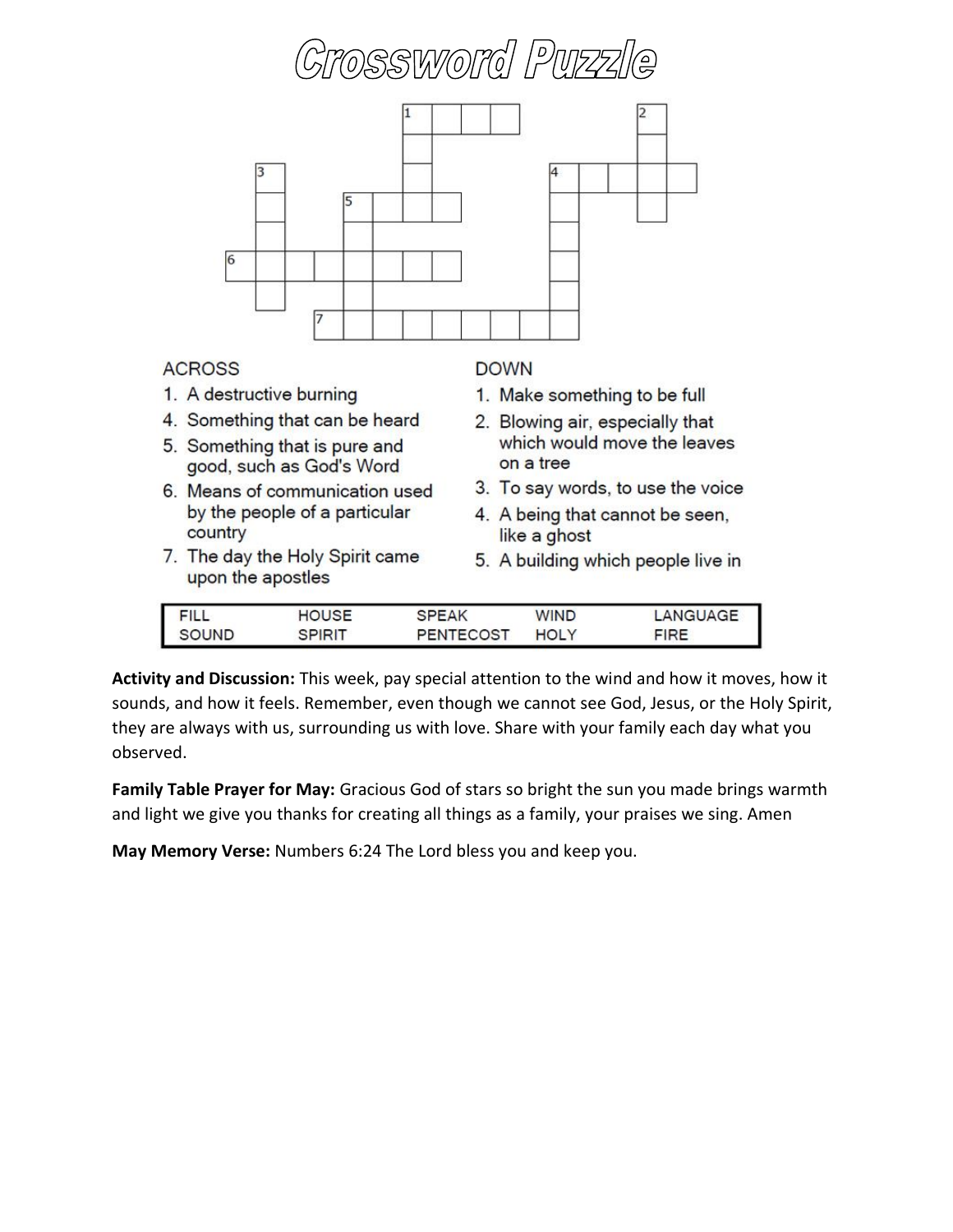

**Activity and Discussion:** This week, pay special attention to the wind and how it moves, how it sounds, and how it feels. Remember, even though we cannot see God, Jesus, or the Holy Spirit, they are always with us, surrounding us with love. Share with your family each day what you observed.

**Family Table Prayer for May:** Gracious God of stars so bright the sun you made brings warmth and light we give you thanks for creating all things as a family, your praises we sing. Amen

**May Memory Verse:** Numbers 6:24 The Lord bless you and keep you.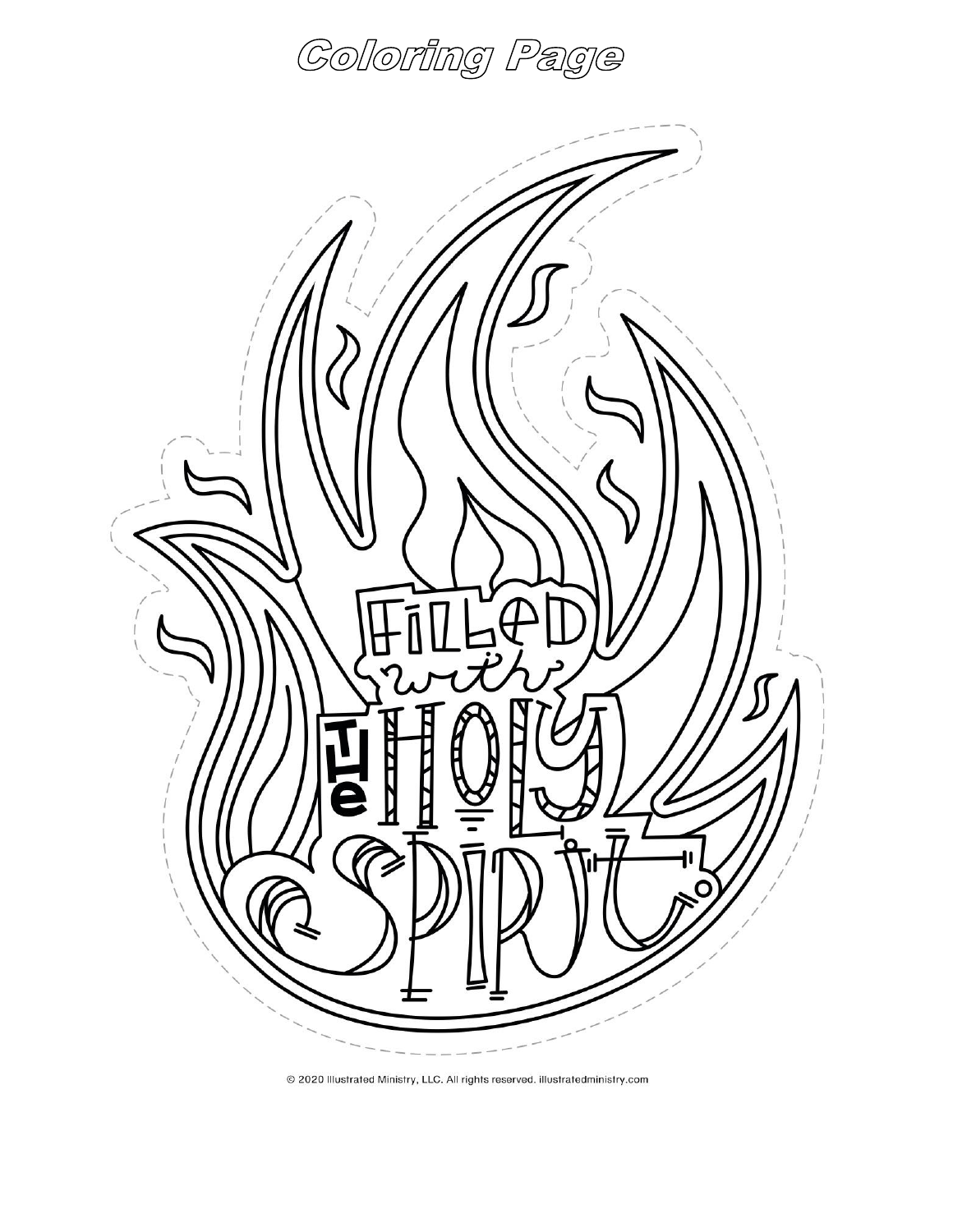



@ 2020 Illustrated Ministry, LLC. All rights reserved. illustratedministry.com